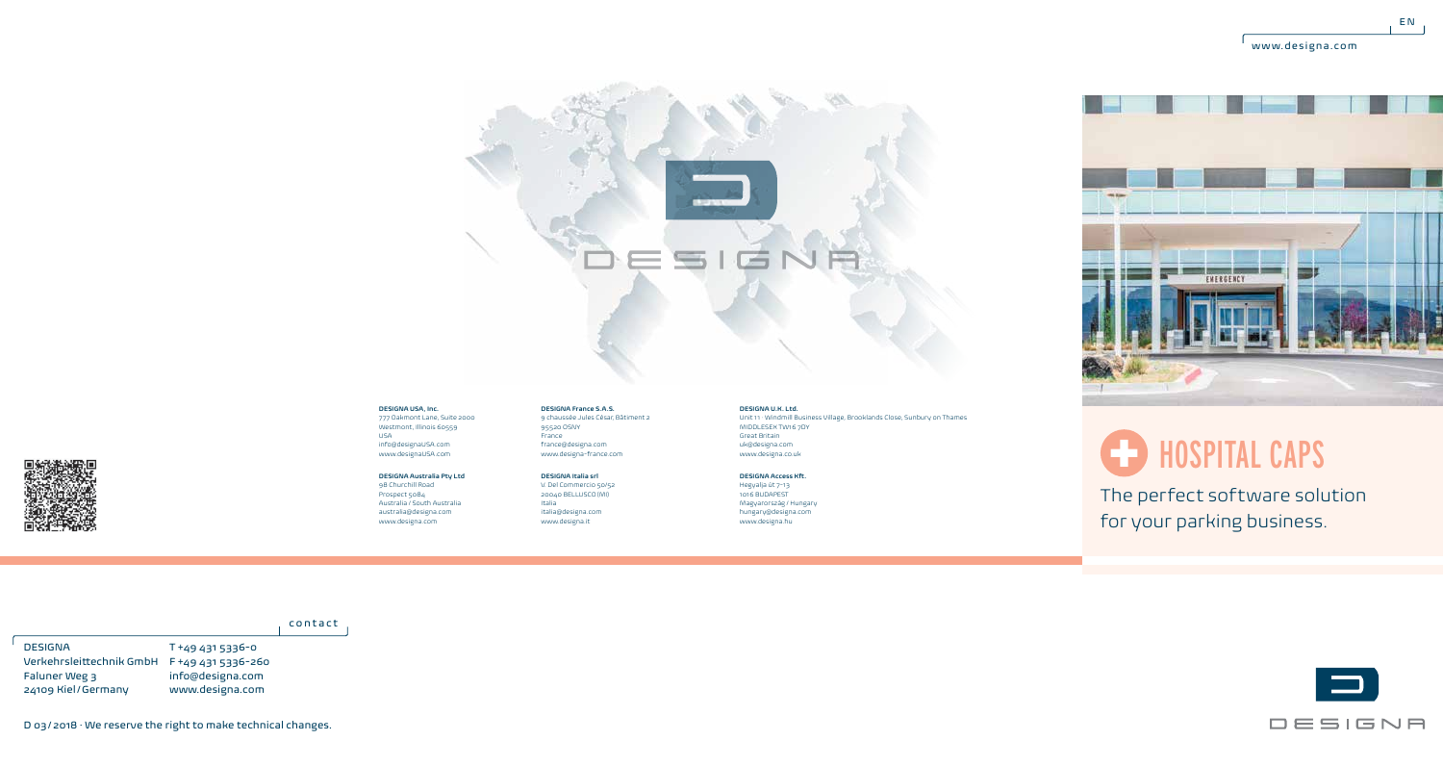$E N$ 



## **DESIGNA USA, Inc.**

777 Oakmont Lane, Suite 2000 Westmont, Illinois 60559 USA info@designaUSA.com www.designaUSA.com

## **DESIGNA Australia Pty Ltd** 98 Churchill Road

Prospect 5084 Australia / South Australia australia@designa.com www.designa.com

France france@designa.com www.designa-france.com **DESIGNA Italia srl** V. Del Commercio 50/52 20040 BELLUSCO (MI) Italia

italia@designa.com www.designa.it

**DESIGNA France S.A.S.** 9 chaussée Jules César, Bâtiment 2

 $95520$  OSNY

Great Britain uk@designa.com www.designa.co.uk **DESIGNA Access Kft.** Hegyalja út 7-13

Unit 11 · Windmill Business Village, Brooklands Close, Sunbury on Thames

1016 BUDAPEST Magyarország / Hungary hungary@designa.com www.designa.hu

**DESIGNA U.K. Ltd.**

MIDDLESEX TW16 7DY



## HOSPITAL CAPS

The perfect software solution for your parking business.

contact

T +49 431 5336-0 Verkehrsleittechnik GmbH F +49 431 5336-260 info@designa.com www.designa.com DESIGNA Faluner Weg 3 24109 Kiel/Germany



D 03/2018 · We reserve the right to make technical changes.